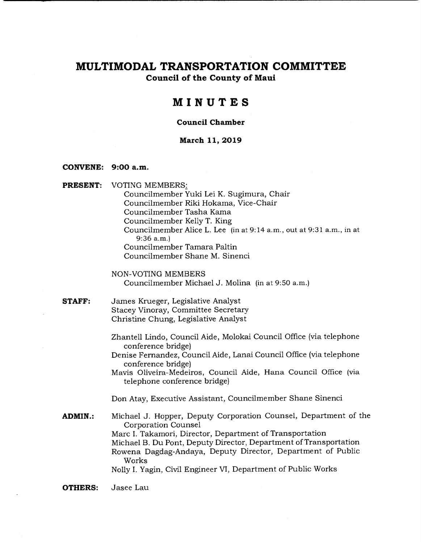**Council of the County of Maui** 

# **MINUTES**

#### **Council Chamber**

#### **March 11, 2019**

#### **CONVENE: 9:00 a.m.**

**PRESENT:** VOTING MEMBERS:

Councilmember Yuki Lei K. Sugimura, Chair Councilmember Riki Hokama, Vice-Chair Councilmember Tasha Kama Councilmember Kelly T. King Councilmember Alice L. Lee (in at 9:14 a.m., out at 9:31 a.m., in at 9:36 a.m.) Councilmember Tamara Paltin Councilmember Shane M. Sinenci

NON-VOTING MEMBERS Councilmember Michael J. Molina (in at 9:50 a.m.)

- **STAFF:** James Krueger, Legislative Analyst Stacey Vinoray, Committee Secretary Christine Chung, Legislative Analyst
	- Zhantell Lindo, Council Aide, Molokai Council Office (via telephone conference bridge)
	- Denise Fernandez, Council Aide, Lanai Council Office (via telephone conference bridge)

Mavis Oliveira-Medeiros, Council Aide, Hana Council Office (via telephone conference bridge)

Don Atay, Executive Assistant, Councilmember Shane Sinenci

**ADMIN.:** Michael J. Hopper, Deputy Corporation Counsel, Department of the Corporation Counsel Marc I. Takamori, Director, Department of Transportation Michael B. Du Pont, Deputy Director, Department of Transportation Rowena Dagdag-Andaya, Deputy Director, Department of Public Works Nolly I. Yagin, Civil Engineer VI, Department of Public Works

**OTHERS:** Jasee Lau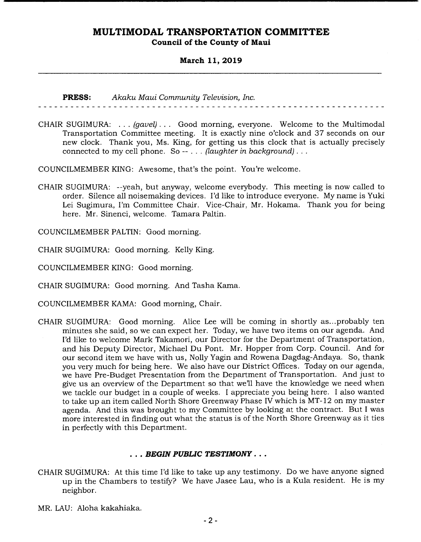### **March 11, 2019**

**PRESS:** *Akaku Maui Community Television, Inc.* 

CHAIR SUGIMURA: . . . *(gavel). . .* Good morning, everyone. Welcome to the Multimodal Transportation Committee meeting. It is exactly nine o'clock and 37 seconds on our new clock. Thank you, Ms. King, for getting us this clock that is actually precisely connected to my cell phone. So -- . . . *(laughter in background).* 

. . . . . . . . . . . . . . . . .

COUNCILMEMBER KING: Awesome, that's the point. You're welcome.

CHAIR SUGIMURA: --yeah, but anyway, welcome everybody. This meeting is now called to order. Silence all noisemaking devices. I'd like to introduce everyone. My name is Yuki Lei Sugimura, I'm Committee Chair. Vice-Chair, Mr. Hokama. Thank you for being here. Mr. Sinenci, welcome. Tamara Paltin.

COUNCILMEMBER PALTIN: Good morning.

CHAIR SUGIMURA: Good morning. Kelly King.

COUNCILMEMBER KING: Good morning.

CHAIR SUGIMURA: Good morning. And Tasha Kama.

COUNCILMEMBER KAMA: Good morning, Chair.

CHAIR SUGIMURA: Good morning. Alice Lee will be coming in shortly as.. .probably ten minutes she said, so we can expect her. Today, we have two items on our agenda. And I'd like to welcome Mark Takamori, our Director for the Department of Transportation, and his Deputy Director, Michael Du Pont. Mr. Hopper from Corp. Council. And for our second item we have with us, Nolly Yagin and Rowena Dagdag-Andaya. So, thank you very much for being here. We also have our District Offices. Today on our agenda, we have Pre-Budget Presentation from the Department of Transportation. And just to give us an overview of the Department so that we'll have the knowledge we need when we tackle our budget in a couple of weeks. I appreciate you being here. I also wanted to take up an item called North Shore Greenway Phase IV which is MT- 12 on my master agenda. And this was brought to my Committee by looking at the contract. But I was more interested in finding out what the status is of the North Shore Greenway as it ties in perfectly with this Department.

### *• BEGIN PUBLIC TESTIMONY...*

- CHAIR SUGIMURA: At this time I'd like to take up any testimony. Do we have anyone signed up in the Chambers to testify? We have Jasee Lau, who is a Kula resident. He is my neighbor.
- MR. LAU: Aloha kakahiaka.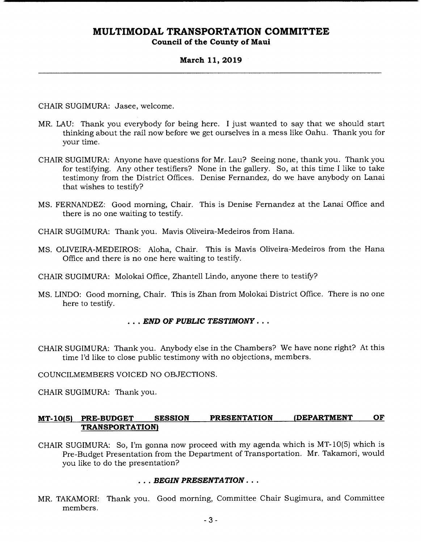### **March 11, 2019**

CHAIR SUGIMURA: Jasee, welcome.

- MR. LAU: Thank you everybody for being here. I just wanted to say that we should start thinking about the rail now before we get ourselves in a mess like Oahu. Thank you for your time.
- CHAIR SUGIMURA: Anyone have questions for Mr. Lau? Seeing none, thank you. Thank you for testifying. Any other testifiers? None in the gallery. So, at this time I like to take testimony from the District Offices. Denise Fernandez, do we have anybody on Lanai that wishes to testify?
- MS. FERNANDEZ: Good morning, Chair. This is Denise Fernandez at the Lanai Office and there is no one waiting to testify.
- CHAIR SUGIMURA: Thank you. Mavis Oliveira-Medeiros from Hana.
- MS. OLIVEIRA-MEDEIROS: Aloha, Chair. This is Mavis Oliveira-Medeiros from the Hana Office and there is no one here waiting to testify.
- CHAIR SUGIMURA: Molokai Office, Zhantell Lindo, anyone there to testify?
- MS. LINDO: Good morning, Chair. This is Zhan from Molokai District Office. There is no one here to testify.

### *• END OF PUBLIC TESTIMONY...*

CHAIR SUGIMURA: Thank you. Anybody else in the Chambers? We have none right? At this time I'd like to close public testimony with no objections, members.

COUNCILMEMBERS VOICED NO OBJECTIONS.

CHAIR SUGIMURA: Thank you.

### **MT-10(5) PRE-BUDGET SESSION PRESENTATION (DEPARTMENT OF TRANSPORTATION)**

CHAIR SUGIMURA: So, I'm gonna now proceed with my agenda which is MT-10(5) which is Pre-Budget Presentation from the Department of Transportation. Mr. Takamori, would you like to do the presentation?

#### *• . BEGIN PRESENTATION...*

MR. TAKAMORI: Thank you. Good morning, Committee Chair Sugimura, and Committee members.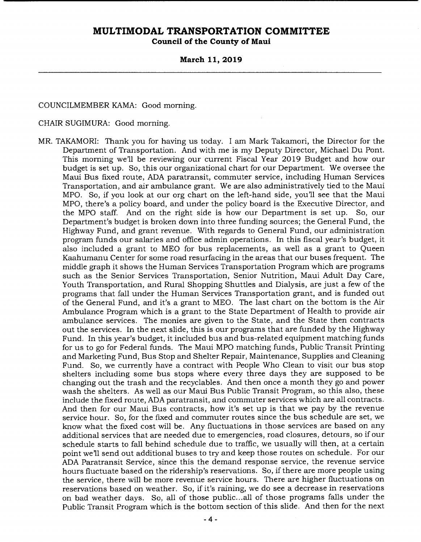**Council of the County of Maui** 

### **March 11, 2019**

COUNCILMEMBER KAMA: Good morning.

CHAIR SUGIMURA: Good morning.

MR. TAKAMORI: Thank you for having us today. I am Mark Takamori, the Director for the Department of Transportation. And with me is my Deputy Director, Michael Du Pont. This morning well be reviewing our current Fiscal Year 2019 Budget and how our budget is set up. So, this our organizational chart for our Department. We oversee the Maui Bus fixed route, ADA paratransit, commuter service, including Human Services Transportation, and air ambulance grant. We are also administratively tied to the Maui MPO. So, if you look at our org chart on the left-hand side, you'll see that the Maui MPO, there's a policy board, and under the policy board is the Executive Director, and the MPO staff. And on the right side is how our Department is set up. So, our Department's budget is broken down into three funding sources; the General Fund, the Highway Fund, and grant revenue. With regards to General Fund, our administration program funds our salaries and office admin operations. In this fiscal year's budget, it also included a grant to MEO for bus replacements, as well as a grant to Queen Kaahumanu Center for some road resurfacing in the areas that our buses frequent. The middle graph it shows the Human Services Transportation Program which are programs such as the Senior Services Transportation, Senior Nutrition, Maui Adult Day Care, Youth Transportation, and Rural Shopping Shuttles and Dialysis, are just a few of the programs that fall under the Human Services Transportation grant, and is funded out of the General Fund, and it's a grant to MEO. The last chart on the bottom is the Air Ambulance Program which is a grant to the State Department of Health to provide air ambulance services. The monies are given to the State, and the State then contracts out the services. In the next slide, this is our programs that are funded by the Highway Fund. In this year's budget, it included bus and bus-related equipment matching funds for us to go for Federal funds. The Maui MPO matching funds, Public Transit Printing and Marketing Fund, Bus Stop and Shelter Repair, Maintenance, Supplies and Cleaning Fund. So, we currently have a contract with People Who Clean to visit our bus stop shelters including some bus stops where every three days they are supposed to be changing out the trash and the recyclables. And then once a month they go and power wash the shelters. As well as our Maui Bus Public Transit Program, so this also, these include the fixed route, ADA paratransit, and commuter services which are all contracts. And then for our Maui Bus contracts, how it's set up is that we pay by the revenue service hour. So, for the fixed and commuter routes since the bus schedule are set, we know what the fixed cost will be. Any fluctuations in those services are based on any additional services that are needed due to emergencies, road closures, detours, so if our schedule starts to fall behind schedule due to traffic, we usually will then, at a certain point well send out additional buses to try and keep those routes on schedule. For our ADA Paratransit Service, since this the demand response service, the revenue service hours fluctuate based on the ridership's reservations. So, if there are more people using the service, there will be more revenue service hours. There are higher fluctuations on reservations based on weather. So, if it's raining, we do see a decrease in reservations on bad weather days. So, all of those public.. .all of those programs falls under the Public Transit Program which is the bottom section of this slide. And then for the next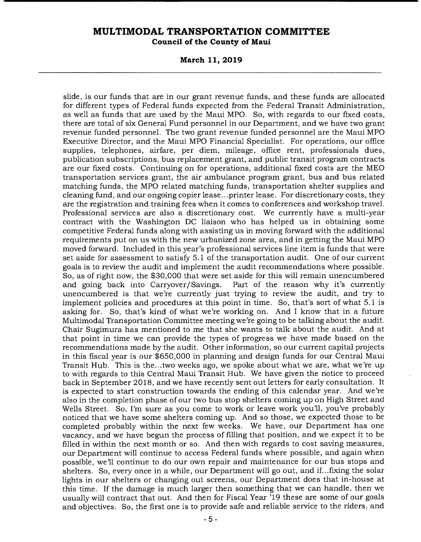**Council of the County of Maui** 

**March 11, 2019** 

slide, is our funds that are in our grant revenue funds, and these funds are allocated for different types of Federal funds expected from the Federal Transit Administration, as well as funds that are used by the Maui MPO. So, with regards to our fixed costs, there are total of six General Fund personnel in our Department, and we have two grant revenue funded personnel. The two grant revenue funded personnel are the Maui MPO Executive Director, and the Maui MPO Financial Specialist. For operations, our office supplies, telephones, airfare, per diem, mileage, office rent, professionals dues, publication subscriptions, bus replacement grant, and public transit program contracts are our fixed costs. Continuing on for operations, additional fixed costs are the MEO transportation services grant, the air ambulance program grant, bus and bus related matching funds, the MPO related matching funds, transportation shelter supplies and cleaning fund, and our ongoing copier lease.. .printer lease. For discretionary costs, they are the registration and training fees when it comes to conferences and workshop travel. Professional services are also a discretionary cost. We currently have a multi-year contract with the Washington DC liaison who has helped us in obtaining some competitive Federal funds along with assisting us in moving forward with the additional requirements put on us with the new urbanized zone area, and in getting the Maui MPO moved forward. Included in this year's professional services line item is funds that were set aside for assessment to satisfy 5.1 of the transportation audit. One of our current goals is to review the audit and implement the audit recommendations where possible. So, as of right now, the \$30,000 that were set aside for this will remain unencumbered and going back into Carryover/ Savings. Part of the reason why it's currently unencumbered is that we're currently just trying to review the audit, and try to implement policies and procedures at this point in time. So, that's sort of what 5.1 is asking for. So, that's kind of what we're working on. And I know that in a future Multimodal Transportation Committee meeting we're going to be talking about the audit. Chair Sugimura has mentioned to me that she wants to talk about the audit. And at that point in time we can provide the types of progress we have made based on the recommendations made by the audit. Other information, so our current capital projects in this fiscal year is our \$650,000 in planning and design funds for our Central Maui Transit Hub. This is the.. .two weeks ago, we spoke about what we are, what we're up to with regards to this Central Maui Transit Hub. We have given the notice to proceed back in September 2018, and we have recently sent out letters for early consultation. It is expected to start construction towards the ending of this calendar year. And we're also in the completion phase of our two bus stop shelters coming up on High Street and Wells Street. So, I'm sure as you come to work or leave work you'll, you've probably noticed that we have some shelters coming up. And so those, we expected those to be completed probably within the next few weeks. We have, our Department has one vacancy, and we have begun the process of filling that position, and we expect it to be filled in within the next month or so. And then with regards to cost saving measures, our Department will continue to access Federal funds where possible, and again when possible, well continue to do our own repair and maintenance for our bus stops and shelters. So, every once in a while, our Department will go out, and if... fixing the solar lights in our shelters or changing out screens, our Department does that in-house at this time. If the damage is much larger then something that we can handle, then we usually will contract that out. And then for Fiscal Year '19 these are some of our goals and objectives. So, the first one is to provide safe and reliable service to the riders, and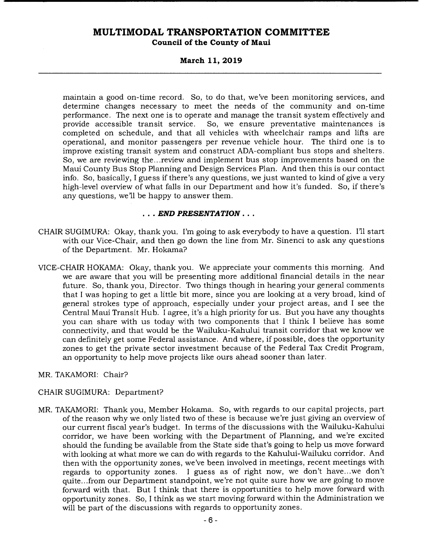### **March 11, 2019**

maintain a good on-time record. So, to do that, we've been monitoring services, and determine changes necessary to meet the needs of the community and on-time performance. The next one is to operate and manage the transit system effectively and provide accessible transit service. So, we ensure preventative maintenances is completed on schedule, and that all vehicles with wheelchair ramps and lifts are operational, and monitor passengers per revenue vehicle hour. The third one is to improve existing transit system and construct ADA-compliant bus stops and shelters. So, we are reviewing the.. .review and implement bus stop improvements based on the Maui County Bus Stop Planning and Design Services Plan. And then this is our contact info. So, basically, I guess if there's any questions, we just wanted to kind of give a very high-level overview of what falls in our Department and how it's funded. So, if there's any questions, we'll be happy to answer them.

### *• END PRESENTATION...*

- CHAIR SUGIMURA: Okay, thank you. I'm going to ask everybody to have a question. I'll start with our Vice-Chair, and then go down the line from Mr. Sinenci to ask any questions of the Department. Mr. Hokama?
- VICE-CHAIR HOKAMA: Okay, thank you. We appreciate your comments this morning. And we are aware that you will be presenting more additional financial details in the near future. So, thank you, Director. Two things though in hearing your general comments that I was hoping to get a little bit more, since you are looking at a very broad, kind of general strokes type of approach, especially under your project areas, and I see the Central Maui Transit Hub. I agree, it's a high priority for us. But you have any thoughts you can share with us today with two components that I think I believe has some connectivity, and that would be the Wailuku-Kahului transit corridor that we know we can definitely get some Federal assistance. And where, if possible, does the opportunity zones to get the private sector investment because of the Federal Tax Credit Program, an opportunity to help move projects like ours ahead sooner than later.
- MR. TAKAMORI: Chair?

### CHAIR SUGIMURA: Department?

MR. TAKAMORI: Thank you, Member Hokama. So, with regards to our capital projects, part of the reason why we only listed two of these is because we're just giving an overview of our current fiscal year's budget. In terms of the discussions with the Wailuku-Kahului corridor, we have been working with the Department of Planning, and we're excited should the funding be available from the State side that's going to help us move forward with looking at what more we can do with regards to the Kahului-Wailuku corridor. And then with the opportunity zones, we've been involved in meetings, recent meetings with regards to opportunity zones. I guess as of right now, we don't have.. .we don't quite.. .from our Department standpoint, we're not quite sure how we are going to move forward with that. But I think that there is opportunities to help move forward with opportunity zones. So, I think as we start moving forward within the Administration we will be part of the discussions with regards to opportunity zones.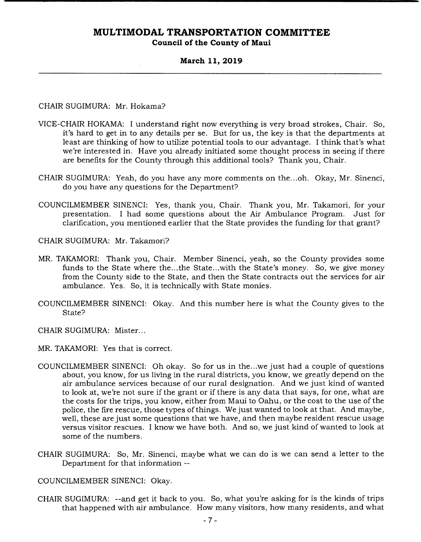### **March 11, 2019**

CHAIR SUGIMURA: Mr. Hokama?

- VICE-CHAIR HOKAMA: I understand right now everything is very broad strokes, Chair. So, it's hard to get in to any details per se. But for us, the key is that the departments at least are thinking of how to utilize potential tools to our advantage. I think that's what we're interested in. Have you already initiated some thought process in seeing if there are benefits for the County through this additional tools? Thank you, Chair.
- CHAIR SUGIMURA: Yeah, do you have any more comments on the...oh. Okay, Mr. Sinenci, do you have any questions for the Department?
- COUNCILMEMBER SINENCI: Yes, thank you, Chair. Thank you, Mr. Takamori, for your presentation. I had some questions about the Air Ambulance Program. Just for clarification, you mentioned earlier that the State provides the funding for that grant?

CHAIR SUGIMURA: Mr. Takamori?

- MR. TAKAMORI: Thank you, Chair. Member Sinenci, yeah, so the County provides some funds to the State where the...the State...with the State's money. So, we give money from the County side to the State, and then the State contracts out the services for air ambulance. Yes. So, it is technically with State monies.
- COUNCILMEMBER SINENCI: Okay. And this number here is what the County gives to the State?

CHAIR SUGIMURA: Mister...

- MR. TAKAMORI: Yes that is correct.
- COUNCILMEMBER SINENCI: Oh okay. So for us in the.. .we just had a couple of questions about, you know, for us living in the rural districts, you know, we greatly depend on the air ambulance services because of our rural designation. And we just kind of wanted to look at, we're not sure if the grant or if there is any data that says, for one, what are the costs for the trips, you know, either from Maui to Oahu, or the cost to the use of the police, the fire rescue, those types of things. We just wanted to look at that. And maybe, well, these are just some questions that we have, and then maybe resident rescue usage versus visitor rescues. I know we have both. And so, we just kind of wanted to look at some of the numbers.
- CHAIR SUGIMURA: So, Mr. Sinenci, maybe what we can do is we can send a letter to the Department for that information --

COUNCILMEMBER SINENCI: Okay.

CHAIR SUGIMURA: --and get it back to you. So, what you're asking for is the kinds of trips that happened with air ambulance. How many visitors, how many residents, and what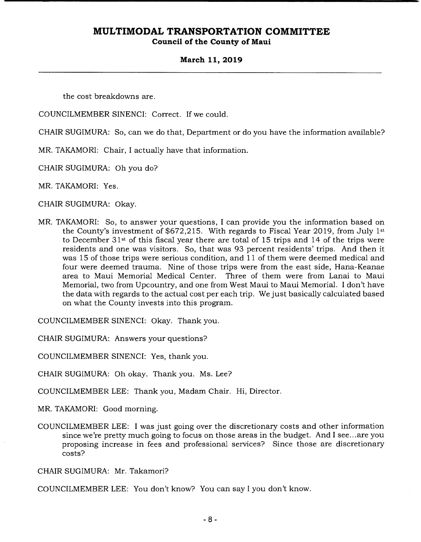### **March 11, 2019**

the cost breakdowns are.

COUNCILMEMBER SINENCI: Correct. If we could.

CHAIR SUGIMURA: So, can we do that, Department or do you have the information available?

MR. TAKAMORI: Chair, I actually have that information.

CHAIR SUGIMURA: Oh you do?

MR. TAKAMORI: Yes.

CHAIR SUGIMURA: Okay.

MR, TAKAMORI: So, to answer your questions, I can provide you the information based on the County's investment of \$672,215. With regards to Fiscal Year 2019, from July 1st to December 31st of this fiscal year there are total of 15 trips and 14 of the trips were residents and one was visitors. So, that was 93 percent residents' trips. And then it was 15 of those trips were serious condition, and 11 of them were deemed medical and four were deemed trauma. Nine of those trips were from the east side, Hana-Keanae area to Maui Memorial Medical Center. Three of them were from Lanai to Maui Memorial, two from Upcountry, and one from West Maui to Maui Memorial. I don't have the data with regards to the actual cost per each trip. We just basically calculated based on what the County invests into this program.

COUNCILMEMBER SINENCI: Okay. Thank you.

CHAIR SUGIMURA: Answers your questions?

COUNCILMEMBER SINENCI: Yes, thank you.

CHAIR SUGIMURA: Oh okay. Thank you. Ms. Lee?

COUNCILMEMBER LEE: Thank you, Madam Chair. Hi, Director.

MR. TAKAMORI: Good morning.

COUNCILMEMBER LEE: I was just going over the discretionary costs and other information since we're pretty much going to focus on those areas in the budget. And I see.. .are you proposing increase in fees and professional services? Since those are discretionary costs?

CHAIR SUGIMURA: Mr. Takamori?

COUNCILMEMBER LEE: You don't know? You can say I you don't know.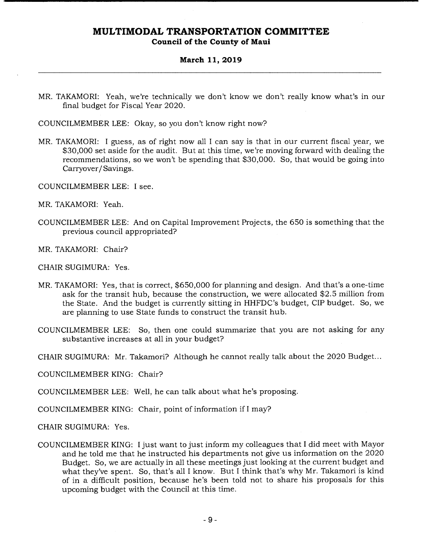# **Council of the County of Maui**

### **March 11, 2019**

MR. TAKAMORI: Yeah, we're technically we don't know we don't really know what's in our final budget for Fiscal Year 2020.

COUNCILMEMBER LEE: Okay, so you don't know right now?

MR. TAKAMORI: I guess, as of right now all I can say is that in our current fiscal year, we \$30,000 set aside for the audit. But at this time, we're moving forward with dealing the recommendations, so we won't be spending that \$30,000. So, that would be going into Carryover/Savings.

COUNCILMEMBER LEE: I see.

- MR. TAKAMORI: Yeah.
- COUNCILMEMBER LEE: And on Capital Improvement Projects, the 650 is something that the previous council appropriated?
- MR. TAKAMORI: Chair?
- CHAIR SUGIMURA: Yes.
- MR. TAKAMORI: Yes, that is correct, \$650,000 for planning and design. And that's a one-time ask for the transit hub, because the construction, we were allocated \$2.5 million from the State. And the budget is currently sitting in HHFDC's budget, CIP budget. So, we are planning to use State funds to construct the transit hub.
- COUNCILMEMBER LEE: So, then one could summarize that you are not asking for any substantive increases at all in your budget?
- CHAIR SUGIMURA: Mr. Takamori? Although he cannot really talk about the 2020 Budget...

COUNCILMEMBER KING: Chair?

COUNCILMEMBER LEE: Well, he can talk about what he's proposing.

COUNCILMEMBER KING: Chair, point of information if I may?

CHAIR SUGIMURA: Yes.

COUNCILMEMBER KING: I just want to just inform my colleagues that I did meet with Mayor and he told me that he instructed his departments not give us information on the 2020 Budget. So, we are actually in all these meetings just looking at the current budget and what they've spent. So, that's all I know. But I think that's why Mr. Takamori is kind of in a difficult position, because he's been told not to share his proposals for this upcoming budget with the Council at this time.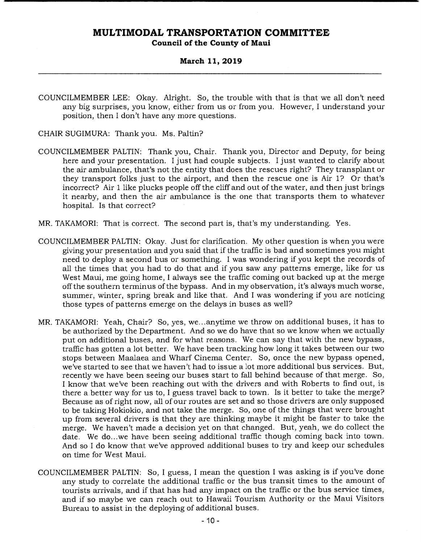### **March 11, 2019**

COUNCILMEMBER LEE: Okay. Alright. So, the trouble with that is that we all don't need any big surprises, you know, either from us or from you. However, I understand your position, then I don't have any more questions.

CHAIR SUGIMURA: Thank you. Ms. Paltin?

- COUNCILMEMBER PALTIN: Thank you, Chair. Thank you, Director and Deputy, for being here and your presentation. I just had couple subjects. I just wanted to clarify about the air ambulance, that's not the entity that does the rescues right? They transplant or they transport folks just to the airport, and then the rescue one is Air 1? Or that's incorrect? Air 1 like plucks people off the cliff and out of the water, and then just brings it nearby, and then the air ambulance is the one that transports them to whatever hospital. Is that correct?
- MR. TAKAMORI: That is correct. The second part is, that's my understanding. Yes.
- COUNCILMEMBER PALTIN: Okay. Just for clarification. My other question is when you were giving your presentation and you said that if the traffic is bad and sometimes you might need to deploy a second bus or something. I was wondering if you kept the records of all the times that you had to do that and if you saw any patterns emerge, like for us West Maui, me going home, I always see the traffic coming out backed up at the merge off the southern terminus of the bypass. And in my observation, it's always much worse, summer, winter, spring break and like that. And I was wondering if you are noticing those types of patterns emerge on the delays in buses as well?
- MR. TAKAMORI: Yeah, Chair? So, yes, we.. .anytime we throw on additional buses, it has to be authorized by the Department. And so we do have that so we know when we actually put on additional buses, and for what reasons. We can say that with the new bypass, traffic has gotten a lot better. We have been tracking how long it takes between our two stops between Maalaea and Wharf Cinema Center. So, once the new bypass opened, we've started to see that we haven't had to issue a lot more additional bus services. But, recently we have been seeing our buses start to fall behind because of that merge. So, I know that we've been reaching out with the drivers and with Roberts to find out, is there a better way for us to, I guess travel back to town. Is it better to take the merge? Because as of right now, all of our routes are set and so those drivers are only supposed to be taking Hokiokio, and not take the merge. So, one of the things that were brought up from several drivers is that they are thinking maybe it might be faster to take the merge. We haven't made a decision yet on that changed. But, yeah, we do collect the date. We do...we have been seeing additional traffic though coming back into town. And so I do know that we've approved additional buses to try and keep our schedules on time for West Maui.
- COUNCILMEMBER PALTIN: So, I guess, I mean the question I was asking is if you've done any study to correlate the additional traffic or the bus transit times to the amount of tourists arrivals, and if that has had any impact on the traffic or the bus service times, and if so maybe we can reach out to Hawaii Tourism Authority or the Maui Visitors Bureau to assist in the deploying of additional buses.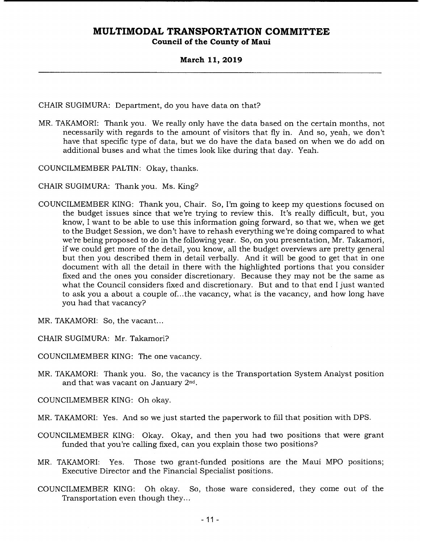**Council of the County of Maui** 

### **March 11, 2019**

CHAIR SUGIMURA: Department, do you have data on that?

MR. TAKAMORI: Thank you. We really only have the data based on the certain months, not necessarily with regards to the amount of visitors that fly in. And so, yeah, we don't have that specific type of data, but we do have the data based on when we do add on additional buses and what the times look like during that day. *Yeah.* 

COUNCILMEMBER PALTIN: Okay, thanks.

CHAIR SUGIMURA: Thank you. Ms. King?

- COUNCILMEMBER KING: Thank you, Chair. So, I'm going to keep my questions focused on the budget issues since that we're trying to review this. It's really difficult, but, you know, I want to be able to use this information going forward, so that we, when we get to the Budget Session, we don't have to rehash everything we're doing compared to what we're being proposed to do in the following year. So, on you presentation, Mr. Takamori, if we could get more of the detail, you know, all the budget overviews are pretty general but then you described them in detail verbally. And it will be good to get that in one document with all the detail in there with the highlighted portions that you consider fixed and the ones you consider discretionary. Because they may not be the same as what the Council considers fixed and discretionary. But and to that end I just wanted to ask you a about a couple of...the vacancy, what is the vacancy, and how long have you had that vacancy?
- MR. TAKAMORI: So, the vacant...

CHAIR SUGIMURA: Mr. Takamori?

COUNCILMEMBER KING: The one vacancy.

MR. TAKAMORI: Thank you. So, the vacancy is the Transportation System Analyst position and that was vacant on January 2nd.

COUNCILMEMBER KING: Oh okay.

- MR. TAKAMORI: Yes. And so we just started the paperwork to fill that position with DPS.
- COUNCILMEMBER KING: Okay. Okay, and then you had two positions that were grant funded that you're calling fixed, can you explain those two positions?
- MR. TAKAMORI: Yes. Those two grant-funded positions are the Maui MPO positions; Executive Director and the Financial Specialist positions.
- COUNCILMEMBER KING: Oh okay. So, those ware considered, they come out of the Transportation even though they...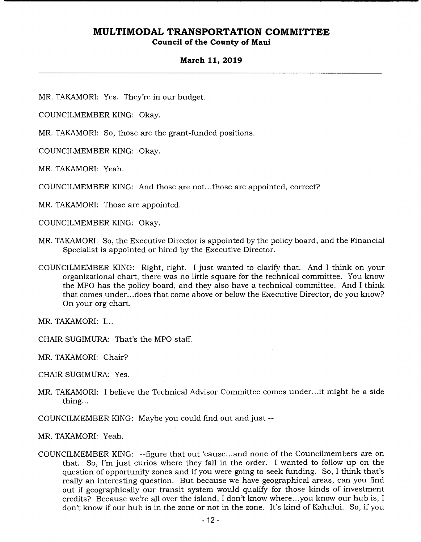**Council of the County of Maui** 

### **March 11, 2019**

MR. TAKAMORI: Yes. They're in our budget.

COUNCILMEMBER KING: Okay.

MR. TAKAMORI: So, those are the grant-funded positions.

COUNCILMEMBER KING: Okay.

MR. TAKAMORI: Yeah.

COUNCILMEMBER KING: And those are not.. .those are appointed, correct?

MR. TAKAMORI: Those are appointed.

COUNCILMEMBER KING: Okay.

- MR. TAKAMORI: So, the Executive Director is appointed by the policy board, and the Financial Specialist is appointed or hired by the Executive Director.
- COUNCILMEMBER KING: Right, right. I just wanted to clarify that. And I think on your organizational chart, there was no little square for the technical committee. You know the MPO has the policy board, and they also have a technical committee. And I think that comes under...does that come above or below the Executive Director, do you know? On your org chart.

MR. TAKAMORI: I...

CHAIR SUGIMURA: That's the MPO staff.

MR. TAKAMORI: Chair?

CHAIR SUGIMURA: Yes.

MR. TAKAMORI: I believe the Technical Advisor Committee comes under.. .it might be a side thing...

COUNCILMEMBER KING: Maybe you could find out and just --

MR. TAKAMORI: Yeah.

COUNCILMEMBER KING: --figure that out 'cause.. .and none of the Councilmembers are on that. So, I'm just curios where they fall in the order. I wanted to follow up on the question of opportunity zones and if you were going to seek funding. So, I think that's really an interesting question. But because we have geographical areas, can you find out if geographically our transit system would qualify for those kinds of investment credits? Because we're all over the island, I don't know where.. .you know our hub is, I don't know if our hub is in the zone or not in the zone. It's kind of Kahului. So, if you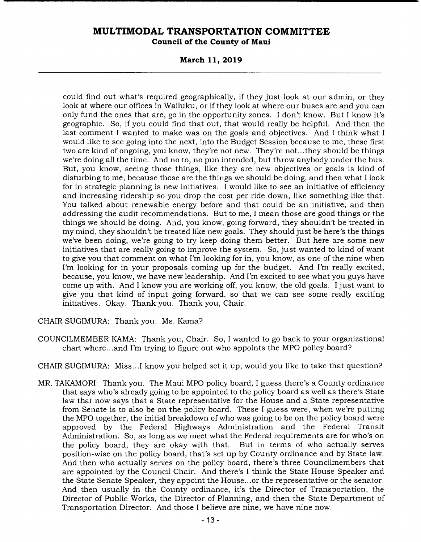**Council of the County of Maui** 

**March 11, 2019** 

could find out what's required geographically, if they just look at our admin, or they look at where our offices in Wailuku, or if they look at where our buses are and you can only fund the ones that are, go in the opportunity zones. I don't know. But I know it's geographic. So, if you could find that out, that would really be helpful. And then the last comment I wanted to make was on the goals and objectives. And I think what I would like to see going into the next, into the Budget Session because to me, these first two are kind of ongoing, you know, they're not new. They're not...they should be things we're doing all the time. And no to, no pun intended, but throw anybody under the bus. But, you know, seeing those things, like they are new objectives or goals is kind of disturbing to me, because those are the things we should be doing, and then what I look for in strategic planning is new initiatives. I would like to see an initiative of efficiency and increasing ridership so you drop the cost per ride down, like something like that. You talked about renewable energy before and that could be an initiative, and then addressing the audit recommendations. But to me, I mean those are good things or the things we should be doing. And, you know, going forward, they shouldn't be treated in my mind, they shouldn't be treated like new goals. They should just be here's the things we've been doing, we're going to try keep doing them better. But here are some new initiatives that are really going to improve the system. So, just wanted to kind of want to give you that comment on what I'm looking for in, you know, as one of the nine when I'm looking for in your proposals coming up for the budget. And I'm really excited, because, you know, we have new leadership. And I'm excited to see what you guys have come up with. And I know you are working off, you know, the old goals. I just want to give you that kind of input going forward, so that we can see some really exciting initiatives. Okay. Thank you. Thank you, Chair.

CHAIR SUGIMURA: Thank you. Ms. Kama?

COUNCILMEMBER KAMA: Thank you, Chair. So, I wanted to go back to your organizational chart where.. .and I'm trying to figure out who appoints the MPO policy board?

CHAIR SUGIMURA: Miss...I know you helped set it up, would you like to take that question?

MR. TAKAMORI: Thank you. The Maui MPO policy board, I guess there's a County ordinance that says who's already going to be appointed to the policy board as well as there's State law that now says that a State representative for the House and a State representative from Senate is to also be on the policy board. These I guess were, when we're putting the MPO together, the initial breakdown of who was going to be on the policy board were approved by the Federal Highways Administration and the Federal Transit Administration. So, as long as we meet what the Federal requirements are for who's on the policy board, they are okay with that. But in terms of who actually serves position-wise on the policy board, that's set up by County ordinance and by State law. And then who actually serves on the policy board, there's three Councilmembers that are appointed by the Council Chair. And there's I think the State House Speaker and the State Senate Speaker, they appoint the House.. .or the representative or the senator. And then usually in the County ordinance, it's the Director of Transportation, the Director of Public Works, the Director of Planning, and then the State Department of Transportation Director. And those I believe are nine, we have nine now.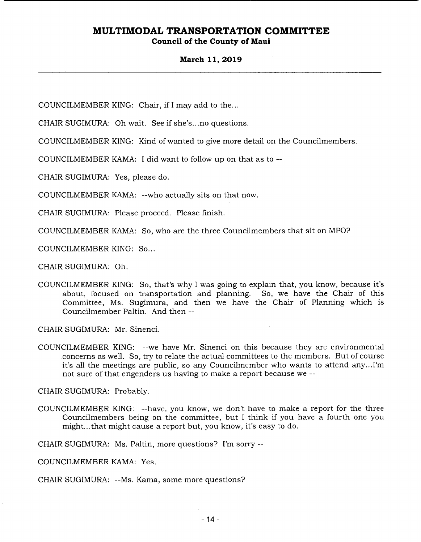### **Council of the County of Maui**

### **March 11, 2019**

COUNCILMEMBER KING: Chair, *if* I may add to the...

CHAIR SUGIMURA: Oh wait. See if she's.. .no questions.

COUNCILMEMBER KING: Kind of wanted to give more detail on the Councilmembers.

COUNCILMEMBER KAMA: I did want to follow up on that as to --

CHAIR SUGIMURA: Yes, please do.

COUNCILMEMBER KAMA: --who actually sits on that now.

CHAIR SUGIMURA: Please proceed. Please finish.

COUNCILMEMBER KAMA: So, who are the three Councilmembers that sit on MPO?

COUNCILMEMBER KING: So...

CHAIR SUGIMURA: Oh.

COUNCILMEMBER KING: So, that's why I was going to explain that, you know, because it's about, focused on transportation and planning. So, we have the Chair of this Committee, Ms. Sugimura, and then we have the Chair of Planning which is Councilmember Paltin. And then --

CHAIR SUGIMURA: Mr. Sinenci.

COUNCILMEMBER KING: --we have Mr. Sinenci on this because they are environmental concerns as well. So, try to relate the actual committees to the members. But of course it's all the meetings are public, so any Councilmember who wants to attend any... I'm not sure of that engenders us having to make a report because we --

CHAIR SUGIMURA: Probably.

COUNCILMEMBER KING: --have, you know, we don't have to make a report for the three Councilmembers being on the committee, but I think if you have a fourth one you might... that might cause a report but, you know, it's easy to do.

CHAIR SUGIMURA: Ms. Paltin, more questions? I'm sorry --

COUNCILMEMBER KAMA: Yes.

CHAIR SUGIMURA: --Ms. Kama, some more questions?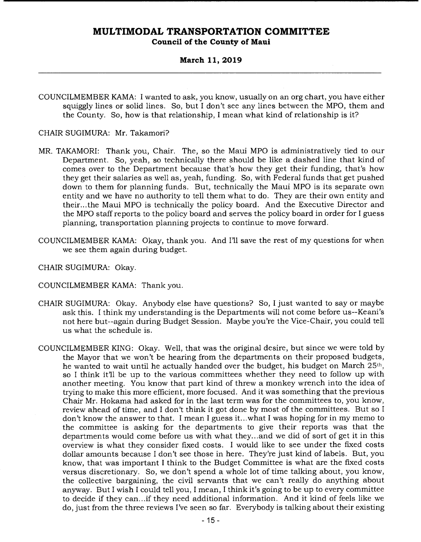### **March 11, 2019**

COUNCILMEMBER KAMA: I wanted to ask, you know, usually on an org chart, you have either squiggly lines or solid lines. So, but I don't see any lines between the MPO, them and the County. So, how is that relationship, I mean what kind of relationship is it?

### CHAIR SUGIMURA: Mr. Takamori?

- MR. TAKAMORI: Thank you, Chair. The, so the Maui MPO is administratively tied to our Department. So, yeah, so technically there should be like a dashed line that kind of comes over to the Department because that's how they get their funding, that's how they get their salaries as well as, yeah, funding. So, with Federal funds that get pushed down to them for planning funds. But, technically the Maui MPO is its separate own entity and we have no authority to tell them what to do. They are their own entity and their... the Maui MPO is technically the policy board. And the Executive Director and the MPO staff reports to the policy board and serves the policy board in order for I guess planning, transportation planning projects to continue to move forward.
- COUNCILMEMBER KAMA: Okay, thank you. And I'll save the rest of my questions for when we see them again during budget.
- CHAIR SUGIMURA: Okay.
- COUNCILMEMBER KAMA: Thank you.
- CHAIR SUGIMURA: Okay. Anybody else have questions? So, I just wanted to say or maybe ask this. I think my understanding is the Departments will not come before us--Keani's not here but--again during Budget Session. Maybe you're the Vice-Chair, you could tell us what the schedule is.
- COUNCILMEMBER KING: Okay. Well, that was the original desire, but since we were told by the Mayor that we won't be hearing from the departments on their proposed budgets, he wanted to wait until he actually handed over the budget, his budget on March 25th, so I think it'll be up to the various committees whether they need to follow up with another meeting. You know that part kind of threw a monkey wrench into the idea of trying to make this more efficient, more focused. And it was something that the previous Chair Mr. Hokama had asked for in the last term was for the committees to, you know, review ahead of time, and I don't think it got done by most of the committees. But so I don't know the answer to that. I mean I guess it.. .what I was hoping for in my memo to the committee is asking for the departments to give their reports was that the departments would come before us with what they...and we did of sort of get it in this overview is what they consider fixed costs. I would like to see under the fixed costs dollar amounts because I don't see those in here. They're just kind of labels. But, you know, that was important I think to the Budget Committee is what are the fixed costs versus discretionary. So, we don't spend a whole lot of time talking about, you know, the collective bargaining, the civil servants that we can't really do anything about anyway. But I wish I could tell you, I mean, I think it's going to be up to every committee to decide if they can. . .if they need additional information. And it kind of feels like we do, just from the three reviews I've seen so far. Everybody is talking about their existing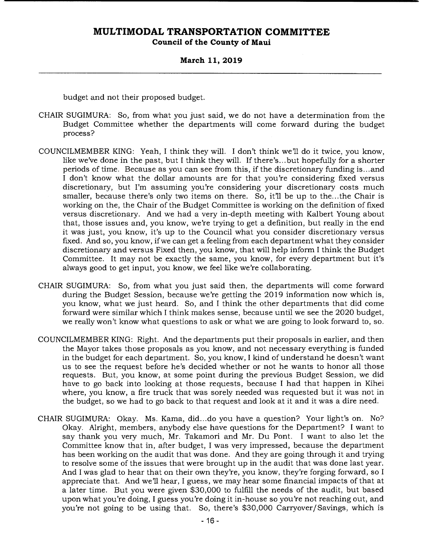### **March 11, 2019**

budget and not their proposed budget.

- CHAIR SUGIMURA: So, from what you just said, we do not have a determination from the Budget Committee whether the departments will come forward during the budget process?
- COUNCILMEMBER KING: Yeah, I think they will. I don't think well do it twice, you know, like we've done in the past, but I think they will. If there's.. .but hopefully for a shorter periods of time. Because as you can see from this, if the discretionary funding is.. .and I don't know what the dollar amounts are for that you're considering fixed versus discretionary, but I'm assuming you're considering your discretionary costs much smaller, because there's only two items on there. So, it'll be up to the...the Chair is working on the, the Chair of the Budget Committee is working on the definition of fixed versus discretionary. And we had a very in-depth meeting with Kalbert Young about that, those issues and, you know, we're trying to get a definition, but really in the end it was just, you know, it's up to the Council what you consider discretionary versus fixed. And so, you know, if we can get a feeling from each department what they consider discretionary and versus Fixed then, you know, that will help inform I think the Budget Committee. It may not be exactly the same, you know, for every department but it's always good to get input, you know, we feel like we're collaborating.
- CHAIR SUGIMURA: So, from what you just said then, the departments will come forward during the Budget Session, because we're getting the 2019 information now which is, you know, what we just heard. So, and I think the other departments that did come forward were similar which I think makes sense, because until we see the 2020 budget, we really won't know what questions to ask or what we are going to look forward to, so.
- COUNCILMEMBER KING: Right. And the departments put their proposals in earlier, and then the Mayor takes those proposals as you know, and not necessary everything is funded in the budget for each department. So, you know, I kind of understand he doesn't want us to see the request before he's decided whether or not he wants to honor all those requests. But, you know, at some point during the previous Budget Session, we did have to go back into looking at those requests, because I had that happen in Kihei where, you know, a fire truck that was sorely needed was requested but it was not in the budget, so we had to go back to that request and look at it and it was a dire need.
- CHAIR SUGIMURA: Okay. Ms. Kama, did.. .do you have a question? Your light's on. No? Okay. Alright, members, anybody else have questions for the Department? I want to say thank you very much, Mr. Takamori and Mr. Du Pont. I want to also let the Committee know that in, after budget, I was very impressed, because the department has been working on the audit that was done. And they are going through it and trying to resolve some of the issues that were brought up in the audit that was done last year. And I was glad to hear that on their own they're, you know, they're forging forward, so I appreciate that. And we'll hear, I guess, we may hear some financial impacts of that at a later time. But you were given \$30,000 to fulfill the needs of the audit, but based upon what you're doing, I guess you're doing it in-house so you're not reaching out, and you're not going to be using that. So, there's \$30,000 Carryover/Savings, which is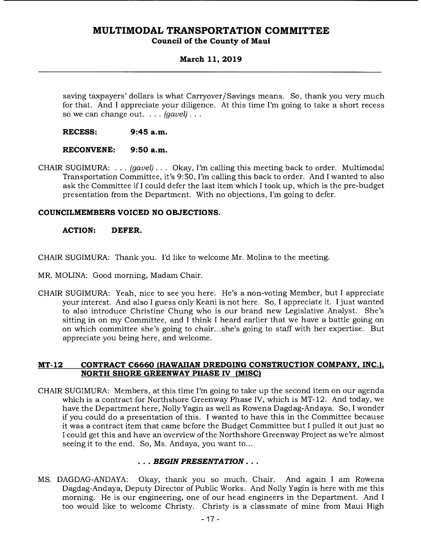### **Council of the County of Maui**

### **March 11, 2019**

saving taxpayers' dollars is what Carryover/ Savings means. So, thank you very much for that. And I appreciate your diligence. At this time I'm going to take a short recess so we can change out. . . . *(gavel).* 

**RECESS: 9:45 a.m.** 

### **RECONVENE: 9:50 a.m.**

CHAIR SUGIMURA: . . . *(gavel).* .. Okay, I'm calling this meeting back to order. Multimodal Transportation Committee, it's 9:50, I'm calling this back to order. And I wanted to also ask the Committee if I could defer the last item which I took up, which is the pre-budget presentation from the Department. With no objections, I'm going to defer.

### **COUNCILMEMBERS VOICED NO OBJECTIONS.**

### **ACTION: DEFER.**

CHAIR SUGIMURA: Thank you. I'd like to welcome Mr. Molina to the meeting.

- MR. MOLINA: Good morning, Madam Chair,
- CHAIR SUGIMURA: Yeah, nice to see you here. He's a non-voting Member, but I appreciate your interest. And also I guess only Keani is not here. So, I appreciate it. I just wanted to also introduce Christine Chung who is our brand new Legislative Analyst. She's sitting in on my Committee, and I think I heard earlier that we have a battle going on on which committee she's going to chair.. .she's going to staff with her expertise. But appreciate you being here, and welcome.

### **MT-12 CONTRACT C6660 (HAWAIIAN DREDGING CONSTRUCTION COMPANY, INC.), NORTH SHORE GREENWAY PHASE IV (MISC)**

CHAIR SUGIMURA: Members, at this time I'm going to take up the second item on our agenda which is a contract for Northshore Greenway Phase IV, which is MT-12. And today, we have the Department here, Nolly Yagin as well as Rowena Dagdag-Andaya. So, I wonder if you could do a presentation of this. I wanted to have this in the Committee because it was a contract item that came before the Budget Committee but I pulled it out just so I could get this and have an overview of the Northshore Greenway Project as we're almost seeing it to the end. So, Ms. Andaya, you want to...

### *• BEGIN PRESENTATION...*

MS. DAGDAG-ANDAYA: Okay, thank you so much, Chair. And again I am Rowena Dagdag-Andaya, Deputy Director of Public Works. And Nolly Yagin is here with me this morning. He is our engineering, one of our head engineers in the Department. And I too would like to welcome Christy. Christy is a classmate of mine from Maui High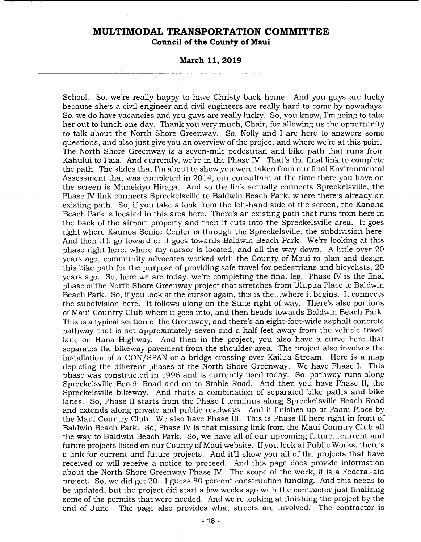**March 11, 2019** 

School. So, we're really happy to have Christy back home. And you guys are lucky because she's a civil engineer and civil engineers are really hard to come by nowadays. So, we do have vacancies and you guys are really lucky. So, you know, I'm going to take her out to lunch one day. Thank you very much, Chair, for allowing us the opportunity to talk about the North Shore Greenway. So, Nolly and I are here to answers some questions, and also just give you an overview of the project and where we're at this point. The North Shore Greenway is a seven-mile pedestrian and bike path that runs from Kahului to Paia. And currently, we're in the Phase IV. That's the final link to complete the path. The slides that I'm about to show you were taken from our final Environmental Assessment that was completed in 2014, our consultant at the time there you have on the screen is Munekiyo Hiraga. And so the link actually connects Spreckelsville, the Phase IV link connects Spreckelsville to Baldwin Beach Park, where there's already an existing path. So, if you take a look from the left-hand side of the screen, the Kanaha Beach Park is located in this area here. There's an existing path that runs from here in the back of the airport property and then it cuts into the Spreckelsville area. It goes right where Kaunoa Senior Center is through the Spreckelsville, the subdivision here. And then it'll go toward or it goes towards Baldwin Beach Park. We're looking at this phase right here, where my cursor is located, and all the way down. A little over 20 years ago, community advocates worked with the County of Maui to plan and design this bike path for the purpose of providing safe travel for pedestrians and bicyclists, 20 years ago. So, here we are today, we're completing the final leg. Phase IV is the final phase of the North Shore Greenway project that stretches from Ulupua Place to Baldwin Beach Park. So, if you look at the cursor again, this is the...where it begins. It connects the subdivision here. It follows along on the State right-of-way. There's also portions of Maui Country Club where it goes into, and then heads towards Baldwin Beach Park. This is a typical section of the Greenway, and there's an eight-foot-wide asphalt concrete pathway that is set approximately seven-and-a-half feet away from the vehicle travel lane on Hana Highway. And then in the project, you also have a curve here that separates the bikeway pavement from the shoulder area. The project also involves the installation of a CON/SPAN or a bridge crossing over Kailua Stream. Here is a map depicting the different phases of the North Shore Greenway. We have Phase I. This phase was constructed in 1996 and is currently used today. So, pathway runs along Spreckelsville Beach Road and on to Stable Road. And then you have Phase II, the Spreckelsville bikeway. And that's a combination of separated bike paths and bike lanes. So, Phase II starts from the Phase I terminus along Spreckelsville Beach Road and extends along private and public roadways. And it finishes up at Paani Place by the Maui Country Club. We also have Phase III. This is Phase III here right in front of Baldwin Beach Park, So, Phase IV is that missing link from the Maui Country Club all the way to Baldwin Beach Park. So, we have all of our upcoming future.. .current and future projects listed on our County of Maui website. If you look at Public Works, there's a link for current and future projects. And it'll show you all of the projects that have received or will receive a notice to proceed. And this page does provide information about the North Shore Greenway Phase IV. The scope of the work, it is a Federal-aid project. So, we did get 20.. .1 guess 80 percent construction funding. And this needs to be updated, but the project did start a few weeks ago with the contractor just finalizing some of the permits that were needed. And we're looking at finishing the project by the end of June. The page also provides what streets are involved. The contractor is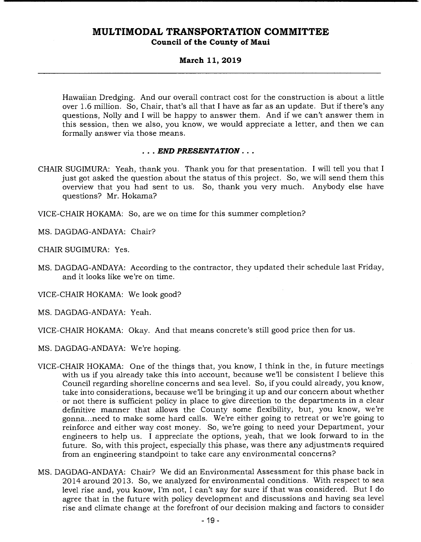**Council of the County of Maui** 

### **March 11, 2019**

Hawaiian Dredging. And our overall contract cost for the construction is about a little over 1.6 million. So, Chair, that's all that I have as far as an update. But if there's any questions, Nolly and I will be happy to answer them. And if we can't answer them in this session, then we also, you know, we would appreciate a letter, and then we can formally answer via those means.

### *END PRESENTATION..*

- CHAIR SUGIMURA: Yeah, thank you. Thank you for that presentation. I will tell you that I just got asked the question about the status of this project. So, we will send them this overview that you had sent to us. So, thank you very much. Anybody else have questions? Mr. Hokama?
- VICE-CHAIR HOKAMA: So, are we on time for this summer completion?

MS. DAGDAG-ANDAYA: Chair?

CHAIR SUGIMURA: Yes.

MS. DAGDAG-ANDAYA: According to the contractor, they updated their schedule last Friday, and it looks like we're on time.

VICE-CHAIR HOKAMA: We look good?

MS. DAGDAG-ANDAYA: Yeah.

VICE-CHAIR HOKAMA: Okay. And that means concrete's still good price then for us.

MS. DAGDAG-ANDAYA: We're hoping.

- VICE-CHAIR HOKAMA: One of the things that, you know, I think in the, in future meetings with us if you already take this into account, because we'll be consistent I believe this Council regarding shoreline concerns and sea level. So, if you could already, you know, take into considerations, because we'll be bringing it up and our concern about whether or not there is sufficient policy in place to give direction to the departments in a clear definitive manner that allows the County some flexibility, but, you know, we're gonna.. .need to make some hard calls. We're either going to retreat or we're going to reinforce and either way cost money. So, we're going to need your Department, your engineers to help us. I appreciate the options, yeah, that we look forward to in the future. So, with this project, especially this phase, was there any adjustments required from an engineering standpoint to take care any environmental concerns?
- MS. DAGDAG-ANDAYA: Chair? We did an Environmental Assessment for this phase back in 2014 around 2013. So, we analyzed for environmental conditions. With respect to sea level rise and, you know, I'm not, I can't say for sure if that was considered. But I do agree that in the future with policy development and discussions and having sea level rise and climate change at the forefront of our decision making and factors to consider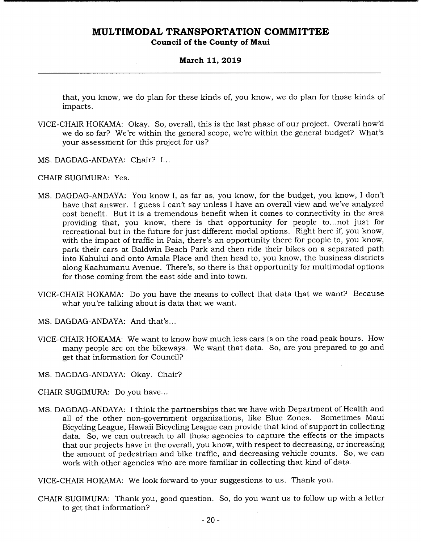### **March 11, 2019**

that, you know, we do plan for these kinds of, you know, we do plan for those kinds of impacts.

- VICE-CHAIR HOKAMA: Okay. So, overall, this is the last phase of our project. Overall how'd we do so far? We're within the general scope, we're within the general budget? What's your assessment for this project for us?
- MS. DAGDAG-ANDAYA: Chair? I...

CHAIR SUGIMURA: Yes.

- MS. DAGDAG-ANDAYA: You know I, as far as, you know, for the budget, you know, I don't have that answer. I guess I can't say unless I have an overall view and we've analyzed cost benefit. But it is a tremendous benefit when it comes to connectivity in the area providing that, you know, there is that opportunity for people to.. .not just for recreational but in the future for just different modal options. Right here if, you know, with the impact of traffic in Paia, there's an opportunity there for people to, you know, park their cars at Baldwin Beach Park and then ride their bikes on a separated path into Kahului and onto Amala Place and then head to, you know, the business districts along Kaahumanu Avenue. There's, so there is that opportunity for multimodal options for those coming from the east side and into town.
- VICE-CHAIR HOKAMA: Do you have the means to collect that data that we want? Because what you're talking about is data that we want.
- MS. DAGDAG-ANDAYA: And that's...
- VICE-CHAIR HOKAMA: We want to know how much less cars is on the road peak hours. How many people are on the bikeways. We want that data. So, are you prepared to go and get that information for Council?
- MS. DAGDAG-ANDAYA: Okay. Chair?
- CHAIR SUGIMURA: Do you have...
- MS. DAGDAG-ANDAYA: I think the partnerships that we have with Department of Health and all of the other non-government organizations, like Blue Zones. Sometimes Maui Bicycling League, Hawaii Bicycling League can provide that kind of support in collecting data. So, we can outreach to all those agencies to capture the effects or the impacts that our projects have in the overall, you know, with respect to decreasing, or increasing the amount of pedestrian and bike traffic, and decreasing vehicle counts. So, we can work with other agencies who are more familiar in collecting that kind of data.

VICE-CHAIR HOKAMA: We look forward to your suggestions to us. Thank you.

CHAIR SUGIMURA: Thank you, good question. So, do you want us to follow up with a letter to get that information?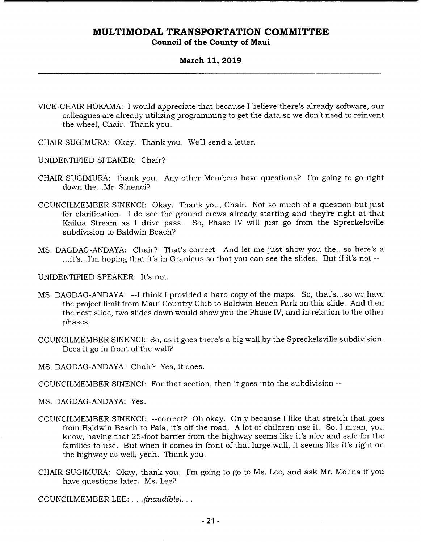### **March 11, 2019**

- VICE-CHAIR HOKAMA: I would appreciate that because I believe there's already software, our colleagues are already utilizing programming to get the data so we don't need to reinvent the wheel, Chair. Thank you.
- CHAIR SUGIMURA: Okay. Thank you. We'll send a letter.
- UNIDENTIFIED SPEAKER: Chair?
- CHAIR SUGIMURA: thank you. Any other Members have questions? I'm going to go right down the...Mr. Sinenci?
- COUNCILMEMBER SINENCI: Okay. Thank you, Chair. Not so much of a question but just for clarification. I do see the ground crews already starting and they're right at that Kailua Stream as I drive pass. So, Phase IV will just go from the Spreckelsville subdivision to Baldwin Beach?
- MS. DAGDAG-ANDAYA: Chair? That's correct. And let me just show you the.. .so here's a ...it's...I'm hoping that it's in Granicus so that you can see the slides. But if it's not --

UNIDENTIFIED SPEAKER: It's not.

- MS. DAGDAG-ANDAYA: --I think I provided a hard copy of the maps. So, that's... so we have the project limit from Maui Country Club to Baldwin Beach Park on this slide. And then the next slide, two slides down would show you the Phase IV, and in relation to the other phases.
- COUNCILMEMBER SINENCI: So, as it goes there's a big wall by the Spreckelsville subdivision. Does it go in front of the wall?

MS. DAGDAG-ANDAYA: Chair? Yes, it does.

COUNCILMEMBER SINENCI: For that section, then it goes into the subdivision --

MS. DAGDAG-ANDAYA: Yes.

- COUNCILMEMBER SINENCI: --correct? Oh okay. Only because I like that stretch that goes from Baldwin Beach to Paia, it's off the road. A lot of children use it. So, I mean, you know, having that 25-foot barrier from the highway seems like it's nice and safe for the families to use. But when it comes in front of that large wall, it seems like it's right on the highway as well, yeah. Thank you.
- CHAIR SUGIMURA: Okay, thank you. I'm going to go to Ms. Lee, and ask Mr. Molina if you have questions later. Ms. Lee?

COUNCILMEMBER LEE: . . . *(inaudible)...*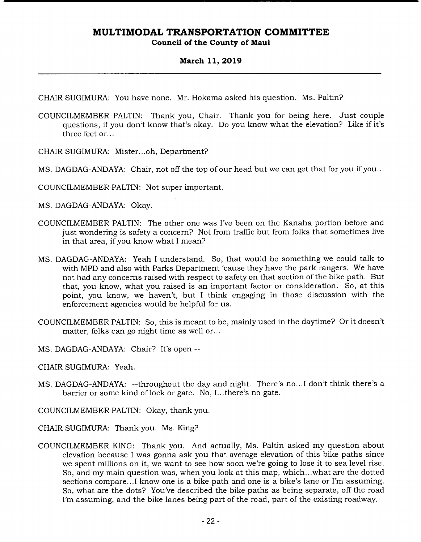### **March 11, 2019**

CHAIR SUGIMURA: You have none. Mr. Hokama asked his question. Ms. Paltin?

- COUNCILMEMBER PALTIN: Thank you, Chair. Thank you for being here. Just couple questions, if you don't know that's okay. Do you know what the elevation? Like if it's three feet or...
- CHAIR SUGIMURA: Mister...oh, Department?
- MS. DAGDAG-ANDAYA: Chair, not off the top of our head but we can get that for you if you...
- COUNCILMEMBER PALTIN: Not super important.
- MS. DAGDAG-ANDAYA: Okay.
- COUNCILMEMBER PALTIN: The other one was I've been on the Kanaha portion before and just wondering is safety a concern? Not from traffic but from folks that sometimes live in that area, if you know what I mean?
- MS. DAGDAG-ANDAYA: Yeah I understand. So, that would be something we could talk to with MPD and also with Parks Department 'cause they have the park rangers. We have not had any concerns raised with respect to safety on that section of the bike path. But that, you know, what you raised is an important factor or consideration. So, at this point, you know, we haven't, but I think engaging in those discussion with the enforcement agencies would be helpful for us.
- COUNCILMEMBER PALTIN: So, this is meant to be, mainly used in the daytime? Or it doesn't matter, folks can go night time as well or...
- MS. DAGDAG-ANDAYA: Chair? It's open --
- CHAIR SUGIMURA: Yeah.
- MS. DAGDAG-ANDAYA: --throughout the day and night. There's no.. .1 don't think there's a barrier or some kind of lock or gate. No, I... there's no gate.
- COUNCILMEMBER PALTIN: Okay, thank you.
- CHAIR SUGIMURA: Thank you. Ms. King?
- COUNCILMEMBER KING: Thank you. And actually, Ms. Paltin asked my question about elevation because I was gonna ask you that average elevation of this bike paths since we spent millions on it, we want to see how soon we're going to lose it to sea level rise. So, and my main question was, when you look at this map, which.. .what are the dotted sections compare...I know one is a bike path and one is a bike's lane or I'm assuming. So, what are the dots? You've described the bike paths as being separate, off the road I'm assuming, and the bike lanes being part of the road, part of the existing roadway.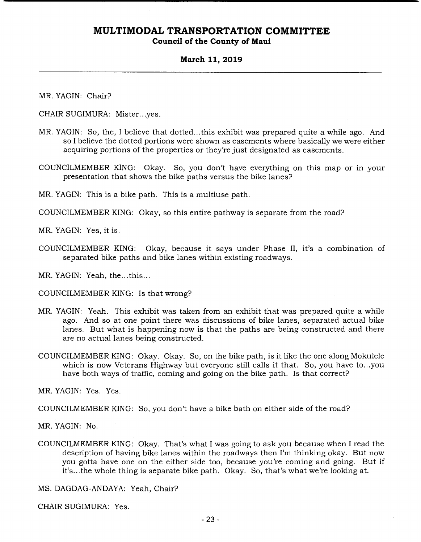### **Council of the County of Maui**

### **March 11, 2019**

MR. YAGIN: Chair?

CHAIR SUGIMURA: Mister.. .yes.

- MR. YAGIN: So, the, I believe that dotted.. .this exhibit was prepared quite a while ago. And so I believe the dotted portions were shown as easements where basically we were either acquiring portions of the properties or they're just designated as easements.
- COUNCILMEMBER KING: Okay. So, you don't have everything on this map or in your presentation that shows the bike paths versus the bike lanes?

MR. YAGIN: This is a bike path. This is a multiuse path.

COUNCILMEMBER KING: Okay, so this entire pathway is separate from the road?

MR. YAGIN: Yes, it is.

COUNCILMEMBER KING: Okay, because it says under Phase II, it's a combination of separated bike paths and bike lanes within existing roadways.

MR. YAGIN: Yeah, the.. .this...

COUNCILMEMBER KING: Is that wrong?

- MR. YAGIN: Yeah. This exhibit was taken from an exhibit that was prepared quite a while ago. And so at one point there was discussions of bike lanes, separated actual bike lanes. But what is happening now is that the paths are being constructed and there are no actual lanes being constructed.
- COUNCILMEMBER KING: Okay. Okay. So, on the bike path, is it like the one along Mokulele which is now Veterans Highway but everyone still calls it that. So, you have to...you have both ways of traffic, coming and going on the bike path. Is that correct?

MR. YAGIN: Yes. Yes.

COUNCILMEMBER KING: So, you don't have a bike bath on either side of the road?

MR. YAGIN: No.

COUNCILMEMBER KING: Okay. That's what I was going to ask you because when I read the description of having bike lanes within the roadways then I'm thinking okay. But now you gotta have one on the either side too, because you're coming and going. But if it's.. .the whole thing is separate bike path. Okay. So, that's what we're looking at.

MS. DAGDAG-ANDAYA: Yeah, Chair?

CHAIR SUGIMURA: Yes.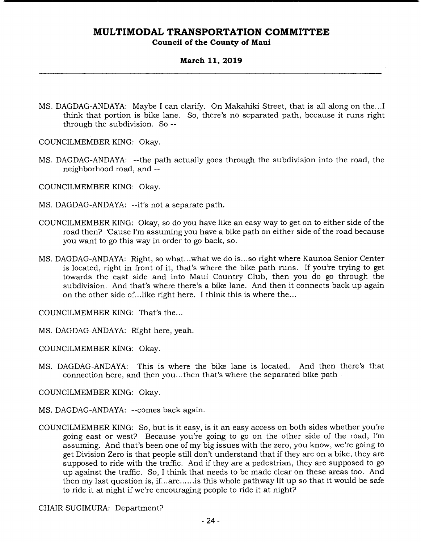**Council of the County of Maui** 

### **March 11, 2019**

MS. DAGDAG-ANDAYA: Maybe I can clarify. On Makahiki Street, that is all along on the.. .1 think that portion is bike lane. So, there's no separated path, because it runs right through the subdivision. So --

COUNCILMEMBER KING: Okay.

MS. DAGDAG-ANDAYA: --the path actually goes through the subdivision into the road, the neighborhood road, and --

COUNCILMEMBER KING: Okay.

MS. DAGDAG-ANDAYA: --it's not a separate path.

- COUNCILMEMBER KING: Okay, so do you have like an easy way to get on to either side of the road then? 'Cause I'm assuming you have a bike path on either side of the road because you want to go this way in order to go back, so.
- MS. DAGDAG-ANDAYA: Right, so what.. .what we do is... so right where Kaunoa Senior Center is located, right in front of it, that's where the bike path runs. If you're trying to get towards the east side and into Maui Country Club, then you do go through the subdivision. And that's where there's a bike lane. And then it connects back up again on the other side of... like right here. I think this is where the...

COUNCILMEMBER KING: That's the...

MS. DAGDAG-ANDAYA: Right here, yeah.

COUNCILMEMBER KING: Okay.

MS. DAGDAG-ANDAYA: This is where the bike lane is located. And then there's that connection here, and then you.. .then that's where the separated bike path --

COUNCILMEMBER KING: Okay.

- MS. DAGDAG-ANDAYA: --comes back again.
- COUNCILMEMBER KING: So, but is it easy, is it an easy access on both sides whether you're going east or west? Because you're going to go on the other side of the road, I'm assuming. And that's been one of my big issues with the zero, you know, we're going to get Division Zero is that people still don't understand that if they are on a bike, they are supposed to ride with the traffic. And if they are a pedestrian, they are supposed to go up against the traffic. So, I think that needs to be made clear on these areas too. And then my last question is, if.. .are......is this whole pathway lit up so that it would be safe to ride it at night if we're encouraging people to ride it at night?

CHAIR SUGIMURA: Department?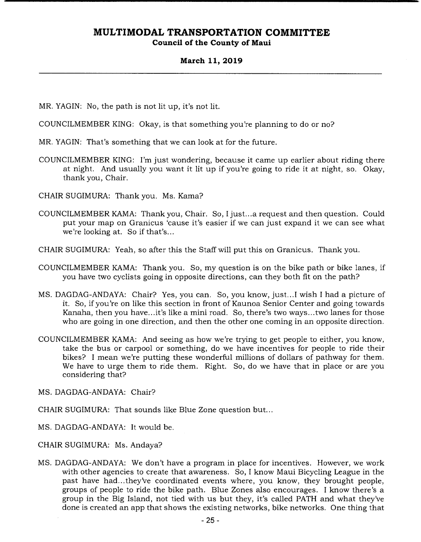### **March 11, 2019**

MR. YAGIN: No, the path is not lit up, it's not lit.

COUNCILMEMBER KING: Okay, is that something you're planning to do or no?

MR. YAGIN: That's something that we can look at for the future.

COUNCILMEMBER KING: I'm just wondering, because it came up earlier about riding there at night. And usually you want it lit up if you're going to ride it at night, so. Okay, thank you, Chair.

CHAIR SUGIMURA: Thank you. Ms. Kama?

COUNCILMEMBER KAMA: Thank you, Chair. So, I just.. .a request and then question. Could put your map on Granicus 'cause it's easier if we can just expand it we can see what we're looking at. So if that's...

CHAIR SUGIMURA: Yeah, so after this the Staff will put this on Granicus. Thank you.

- COUNCILMEMBER KAMA: Thank you. So, my question is on the bike path or bike lanes, if you have two cyclists going in opposite directions, can they both fit on the path?
- MS. DAGDAG-ANDAYA: Chair? Yes, you can. So, you know, just... I wish I had a picture of it. So, if you're on like this section in front of Kaunoa Senior Center and going towards Kanaha, then you have.. .it's like a mini road. So, there's two ways.. .two lanes for those who are going in one direction, and then the other one coming in an opposite direction.
- COUNCILMEMBER KAMA: And seeing as how we're trying to get people to either, you know, take the bus or carpool or something, do we have incentives for people to ride their bikes? I mean we're putting these wonderful millions of dollars of pathway for them. We have to urge them to ride them. Right. So, do we have that in place or are you considering that?

MS. DAGDAG-ANDAYA: Chair?

CHAIR SUGIMURA: That sounds like Blue Zone question but...

MS. DAGDAG-ANDAYA: It would be.

CHAIR SUGIMURA: Ms. Andaya?

MS. DAGDAG-ANDAYA: We don't have a program in place for incentives. However, we work with other agencies to create that awareness. So, I know Maui Bicycling League in the past have had.. .they've coordinated events where, you know, they brought people, groups of people to ride the bike path. Blue Zones also encourages. I know there's a group in the Big Island, not tied with us but they, it's called PATH and what they've done is created an app that shows the existing networks, bike networks. One thing that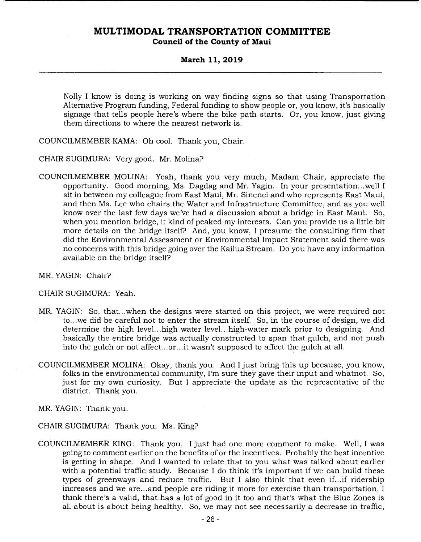### **March 11, 2019**

Nolly I know is doing is working on way finding signs so that using Transportation Alternative Program funding, Federal funding to show people or, you know, it's basically signage that tells people here's where the bike path starts. Or, you know, just giving them directions to where the nearest network is.

COUNCILMEMBER KAMA: Oh cool. Thank you, Chair.

CHAIR SUGIMURA: Very good. Mr. Molina?

COUNCILMEMBER MOLINA: Yeah, thank you very much, Madam Chair, appreciate the opportunity. Good morning, Ms. Dagdag and Mr. Yagin. In your presentation.. .well I sit in between my colleague from East Maui, Mr. Sinenci and who represents East Maui, and then Ms. Lee who chairs the Water and Infrastructure Committee, and as you well know over the last few days we've had a discussion about a bridge in East Maui. So, when you mention bridge, it kind of peaked my interests. Can you provide us a little bit more details on the bridge itself? And, you know, I presume the consulting firm that did the Environmental Assessment or Environmental Impact Statement said there was no concerns with this bridge going over the Kailua Stream. Do you have any information available on the bridge itself?

MR. YAGIN: Chair?

CHAIR SUGIMURA: Yeah.

- MR. YAGIN: So, that.. .when the designs were started on this project, we were required not to.. .we did be careful not to enter the stream itself. So, in the course of design, we did determine the high level... high water level... high-water mark prior to designing. And basically the entire bridge was actually constructed to span that gulch, and not push into the gulch or not affect...or... it wasn't supposed to affect the gulch at all.
- COUNCILMEMBER MOLINA: Okay, thank you. And I just bring this up because, you know, folks in the environmental community, I'm sure they gave their input and whatnot. So, just for my own curiosity. But I appreciate the update as the representative of the district. Thank you.

MR. YAGIN: Thank you.

CHAIR SUGIMURA: Thank you. Ms. King?

COUNCILMEMBER KING: Thank you. I just had one more comment to make. Well, I was going to comment earlier on the benefits of or the incentives. Probably the best incentive is getting in shape. And I wanted to relate that to you what was talked about earlier with a potential traffic study. Because I do think it's important if we can build these types of greenways and reduce traffic. But I also think that even if.. .if ridership increases and we are.. .and people are riding it more for exercise than transportation, I think there's a valid, that has a lot of good in it too and that's what the Blue Zones is all about is about being healthy. So, we may not see necessarily a decrease in traffic,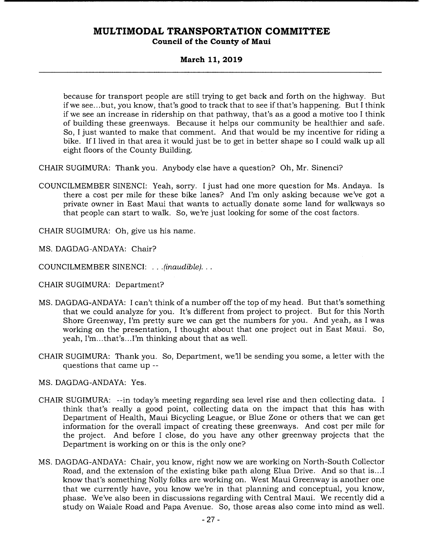### **Council of the County of Maui**

### **March 11, 2019**

because for transport people are still trying to get back and forth on the highway. But if we see.. .but, you know, that's good to track that to see if that's happening. But I think if we see an increase in ridership on that pathway, that's as a good a motive too I think of building these greenways. Because it helps our community be healthier and safe. So, I just wanted to make that comment. And that would be my incentive for riding a bike. If I lived in that area it would just be to get in better shape so I could walk up all eight floors of the County Building.

CHAIR SUGIMURA: Thank you. Anybody else have a question? Oh, Mr. Sinenci?

COUNCILMEMBER SINENCI: Yeah, sorry. I just had one more question for Ms. Andaya. Is there a cost per mile for these bike lanes? And I'm only asking because we've got a private owner in East Maui that wants to actually donate some land for walkways so that people can start to walk. So, we're just looking for some of the cost factors.

CHAIR SUGIMURA: Oh, give us his name.

MS. DAGDAG-ANDAYA: Chair?

COUNCILMEMBER SINENCI: . . . *(inaudible)...* 

CHAIR SUGIMURA: Department?

- MS. DAGDAG-ANDAYA: I can't think of a number off the top of my head. But that's something that we could analyze for you. It's different from project to project. But for this North Shore Greenway, I'm pretty sure we can get the numbers for you. And yeah, as I was working on the presentation, I thought about that one project out in East Maui. So, yeah, I'm.. .that's. . .I'm thinking about that as well.
- CHAIR SUGIMURA: Thank you. So, Department, we'll be sending you some, a letter with the questions that came up --
- MS. DAGDAG-ANDAYA: Yes.
- CHAIR SUGIMURA: --in today's meeting regarding sea level rise and then collecting data. I think that's really a good point, collecting data on the impact that this has with Department of Health, Maui Bicycling League, or Blue Zone or others that we can get information for the overall impact of creating these greenways. And cost per mile for the project. And before I close, do you have any other greenway projects that the Department is working on or this is the only one?
- MS. DAGDAG-ANDAYA: Chair, you know, right now we are working on North-South Collector Road, and the extension of the existing bike path along Elua Drive. And so that is.. .1 know that's something Nolly folks are working on. West Maui Greenway is another one that we currently have, you know we're in that planning and conceptual, you know, phase. We've also been in discussions regarding with Central Maui. We recently did a study on Waiale Road and Papa Avenue. So, those areas also come into mind as well.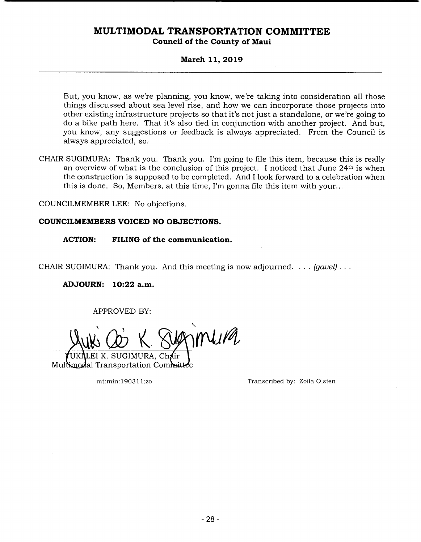### **March 11, 2019**

But, you know, as we're planning, you know, we're taking into consideration all those things discussed about sea level rise, and how we can incorporate those projects into other existing infrastructure projects so that it's not just a standalone, or we're going to do a bike path here. That it's also tied in conjunction with another project. And but, you know, any suggestions or feedback is always appreciated. From the Council is always appreciated, so.

CHAIR SUGIMURA: Thank you. Thank you. I'm going to file this item, because this is really an overview of what is the conclusion of this project. I noticed that June 24th is when the construction is supposed to be completed. And I look forward to a celebration when this is done. So, Members, at this time, I'm gonna file this item with your...

COUNCILMEMBER LEE: No objections.

### **COUNCILMEMBERS VOICED NO OBJECTIONS.**

**ACTION: FILING of the communication.** 

CHAIR SUGIMURA: Thank you. And this meeting is now adjourned. . .. *(gavel).* 

**ADJOURN: 10:22 a.m.** 

APPROVED BY:

 $\eta$ Mura

EI K. SUGIMURA. Ch**á**ir Multimodal Transportation Committee

mt:min: 19031 1:zo Transcribed by: Zoila Olsten